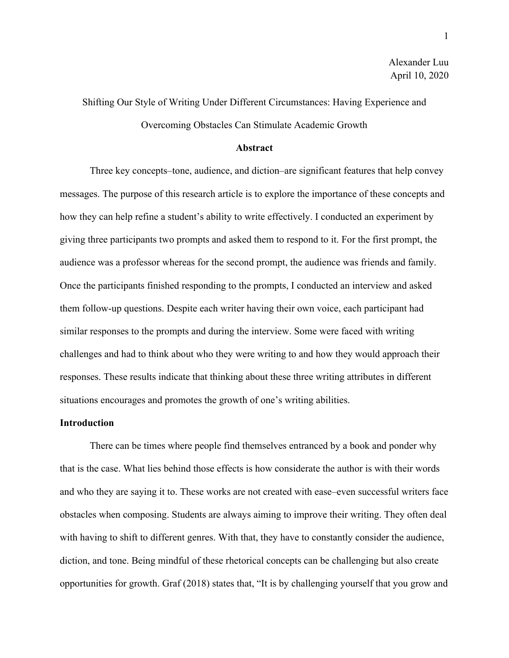# Shifting Our Style of Writing Under Different Circumstances: Having Experience and Overcoming Obstacles Can Stimulate Academic Growth

#### **Abstract**

Three key concepts–tone, audience, and diction–are significant features that help convey messages. The purpose of this research article is to explore the importance of these concepts and how they can help refine a student's ability to write effectively. I conducted an experiment by giving three participants two prompts and asked them to respond to it. For the first prompt, the audience was a professor whereas for the second prompt, the audience was friends and family. Once the participants finished responding to the prompts, I conducted an interview and asked them follow-up questions. Despite each writer having their own voice, each participant had similar responses to the prompts and during the interview. Some were faced with writing challenges and had to think about who they were writing to and how they would approach their responses. These results indicate that thinking about these three writing attributes in different situations encourages and promotes the growth of one's writing abilities.

## **Introduction**

There can be times where people find themselves entranced by a book and ponder why that is the case. What lies behind those effects is how considerate the author is with their words and who they are saying it to. These works are not created with ease–even successful writers face obstacles when composing. Students are always aiming to improve their writing. They often deal with having to shift to different genres. With that, they have to constantly consider the audience, diction, and tone. Being mindful of these rhetorical concepts can be challenging but also create opportunities for growth. Graf (2018) states that, "It is by challenging yourself that you grow and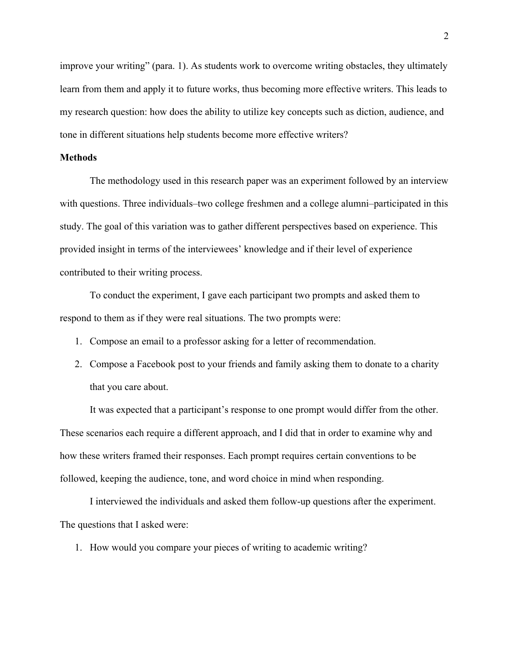improve your writing" (para. 1). As students work to overcome writing obstacles, they ultimately learn from them and apply it to future works, thus becoming more effective writers. This leads to my research question: how does the ability to utilize key concepts such as diction, audience, and tone in different situations help students become more effective writers?

## **Methods**

The methodology used in this research paper was an experiment followed by an interview with questions. Three individuals–two college freshmen and a college alumni–participated in this study. The goal of this variation was to gather different perspectives based on experience. This provided insight in terms of the interviewees' knowledge and if their level of experience contributed to their writing process.

To conduct the experiment, I gave each participant two prompts and asked them to respond to them as if they were real situations. The two prompts were:

- 1. Compose an email to a professor asking for a letter of recommendation.
- 2. Compose a Facebook post to your friends and family asking them to donate to a charity that you care about.

It was expected that a participant's response to one prompt would differ from the other. These scenarios each require a different approach, and I did that in order to examine why and how these writers framed their responses. Each prompt requires certain conventions to be followed, keeping the audience, tone, and word choice in mind when responding.

I interviewed the individuals and asked them follow-up questions after the experiment. The questions that I asked were:

1. How would you compare your pieces of writing to academic writing?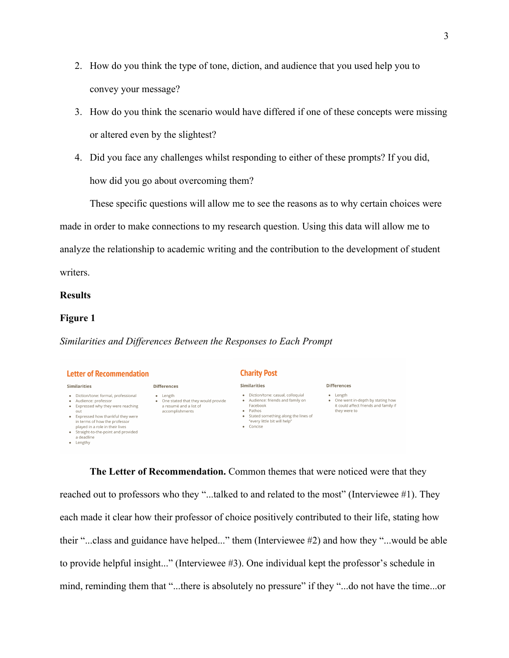- 2. How do you think the type of tone, diction, and audience that you used help you to convey your message?
- 3. How do you think the scenario would have differed if one of these concepts were missing or altered even by the slightest?
- 4. Did you face any challenges whilst responding to either of these prompts? If you did, how did you go about overcoming them?

These specific questions will allow me to see the reasons as to why certain choices were made in order to make connections to my research question. Using this data will allow me to analyze the relationship to academic writing and the contribution to the development of student writers.

#### **Results**

## **Figure 1**

*Similarities and Differences Between the Responses to Each Prompt*



**The Letter of Recommendation.** Common themes that were noticed were that they reached out to professors who they "...talked to and related to the most" (Interviewee #1). They each made it clear how their professor of choice positively contributed to their life, stating how their "...class and guidance have helped..." them (Interviewee #2) and how they "...would be able to provide helpful insight..." (Interviewee #3). One individual kept the professor's schedule in mind, reminding them that "...there is absolutely no pressure" if they "...do not have the time...or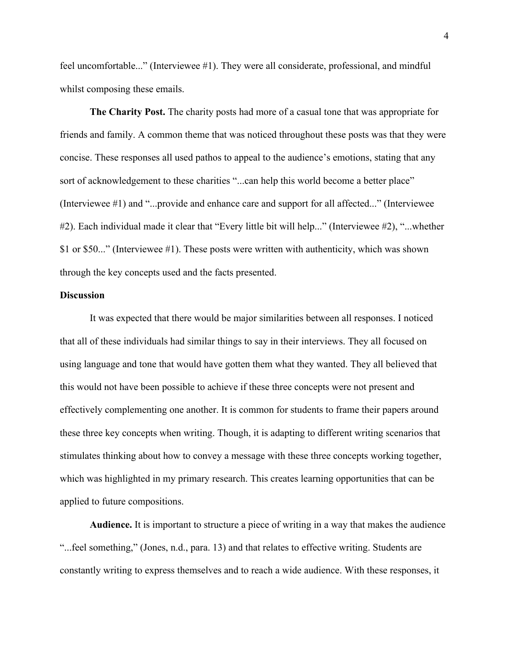feel uncomfortable..." (Interviewee #1). They were all considerate, professional, and mindful whilst composing these emails.

**The Charity Post.** The charity posts had more of a casual tone that was appropriate for friends and family. A common theme that was noticed throughout these posts was that they were concise. These responses all used pathos to appeal to the audience's emotions, stating that any sort of acknowledgement to these charities "...can help this world become a better place" (Interviewee #1) and "...provide and enhance care and support for all affected..." (Interviewee #2). Each individual made it clear that "Every little bit will help..." (Interviewee #2), "...whether \$1 or \$50..." (Interviewee #1). These posts were written with authenticity, which was shown through the key concepts used and the facts presented.

## **Discussion**

It was expected that there would be major similarities between all responses. I noticed that all of these individuals had similar things to say in their interviews. They all focused on using language and tone that would have gotten them what they wanted. They all believed that this would not have been possible to achieve if these three concepts were not present and effectively complementing one another. It is common for students to frame their papers around these three key concepts when writing. Though, it is adapting to different writing scenarios that stimulates thinking about how to convey a message with these three concepts working together, which was highlighted in my primary research. This creates learning opportunities that can be applied to future compositions.

**Audience.** It is important to structure a piece of writing in a way that makes the audience "...feel something," (Jones, n.d., para. 13) and that relates to effective writing. Students are constantly writing to express themselves and to reach a wide audience. With these responses, it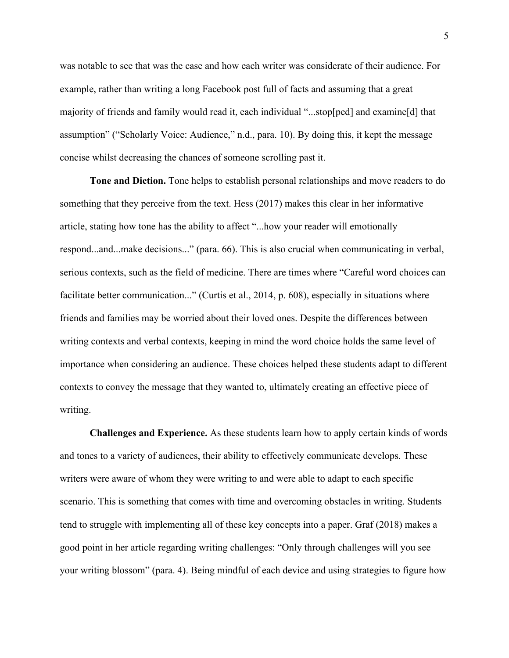was notable to see that was the case and how each writer was considerate of their audience. For example, rather than writing a long Facebook post full of facts and assuming that a great majority of friends and family would read it, each individual "...stop[ped] and examine[d] that assumption" ("Scholarly Voice: Audience," n.d., para. 10). By doing this, it kept the message concise whilst decreasing the chances of someone scrolling past it.

**Tone and Diction.** Tone helps to establish personal relationships and move readers to do something that they perceive from the text. Hess (2017) makes this clear in her informative article, stating how tone has the ability to affect "...how your reader will emotionally respond...and...make decisions..." (para. 66). This is also crucial when communicating in verbal, serious contexts, such as the field of medicine. There are times where "Careful word choices can facilitate better communication..." (Curtis et al., 2014, p. 608), especially in situations where friends and families may be worried about their loved ones. Despite the differences between writing contexts and verbal contexts, keeping in mind the word choice holds the same level of importance when considering an audience. These choices helped these students adapt to different contexts to convey the message that they wanted to, ultimately creating an effective piece of writing.

**Challenges and Experience.** As these students learn how to apply certain kinds of words and tones to a variety of audiences, their ability to effectively communicate develops. These writers were aware of whom they were writing to and were able to adapt to each specific scenario. This is something that comes with time and overcoming obstacles in writing. Students tend to struggle with implementing all of these key concepts into a paper. Graf (2018) makes a good point in her article regarding writing challenges: "Only through challenges will you see your writing blossom" (para. 4). Being mindful of each device and using strategies to figure how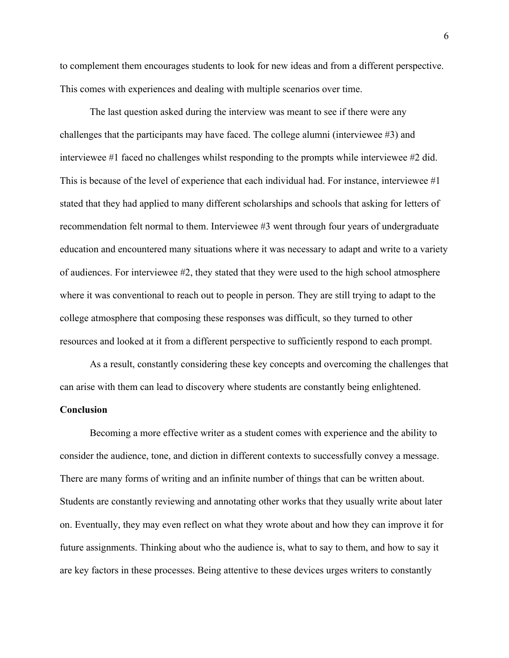to complement them encourages students to look for new ideas and from a different perspective. This comes with experiences and dealing with multiple scenarios over time.

The last question asked during the interview was meant to see if there were any challenges that the participants may have faced. The college alumni (interviewee #3) and interviewee #1 faced no challenges whilst responding to the prompts while interviewee #2 did. This is because of the level of experience that each individual had. For instance, interviewee #1 stated that they had applied to many different scholarships and schools that asking for letters of recommendation felt normal to them. Interviewee #3 went through four years of undergraduate education and encountered many situations where it was necessary to adapt and write to a variety of audiences. For interviewee #2, they stated that they were used to the high school atmosphere where it was conventional to reach out to people in person. They are still trying to adapt to the college atmosphere that composing these responses was difficult, so they turned to other resources and looked at it from a different perspective to sufficiently respond to each prompt.

As a result, constantly considering these key concepts and overcoming the challenges that can arise with them can lead to discovery where students are constantly being enlightened.

## **Conclusion**

Becoming a more effective writer as a student comes with experience and the ability to consider the audience, tone, and diction in different contexts to successfully convey a message. There are many forms of writing and an infinite number of things that can be written about. Students are constantly reviewing and annotating other works that they usually write about later on. Eventually, they may even reflect on what they wrote about and how they can improve it for future assignments. Thinking about who the audience is, what to say to them, and how to say it are key factors in these processes. Being attentive to these devices urges writers to constantly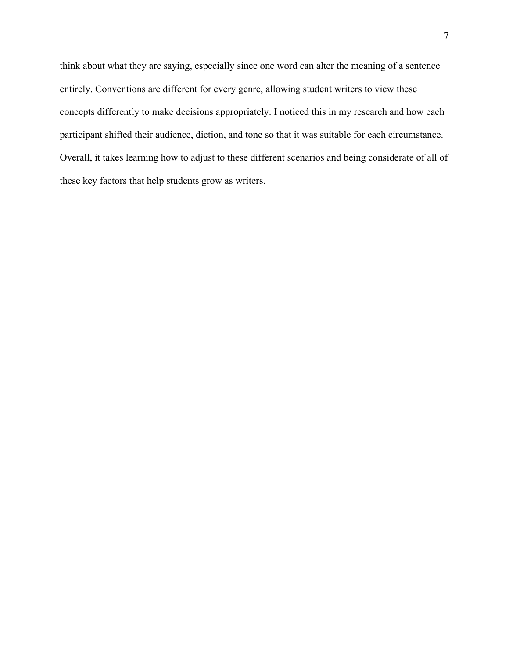think about what they are saying, especially since one word can alter the meaning of a sentence entirely. Conventions are different for every genre, allowing student writers to view these concepts differently to make decisions appropriately. I noticed this in my research and how each participant shifted their audience, diction, and tone so that it was suitable for each circumstance. Overall, it takes learning how to adjust to these different scenarios and being considerate of all of these key factors that help students grow as writers.